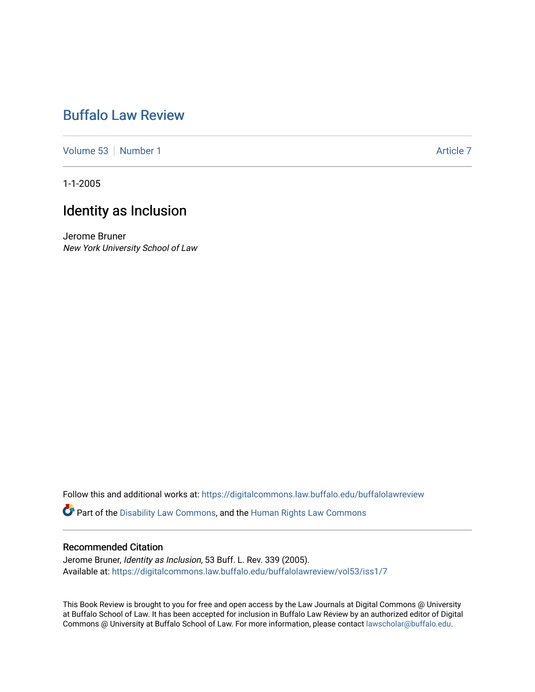# [Buffalo Law Review](https://digitalcommons.law.buffalo.edu/buffalolawreview)

[Volume 53](https://digitalcommons.law.buffalo.edu/buffalolawreview/vol53) [Number 1](https://digitalcommons.law.buffalo.edu/buffalolawreview/vol53/iss1) Article 7

1-1-2005

# Identity as Inclusion

Jerome Bruner New York University School of Law

Follow this and additional works at: [https://digitalcommons.law.buffalo.edu/buffalolawreview](https://digitalcommons.law.buffalo.edu/buffalolawreview?utm_source=digitalcommons.law.buffalo.edu%2Fbuffalolawreview%2Fvol53%2Fiss1%2F7&utm_medium=PDF&utm_campaign=PDFCoverPages) 

**C** Part of the [Disability Law Commons](http://network.bepress.com/hgg/discipline/1074?utm_source=digitalcommons.law.buffalo.edu%2Fbuffalolawreview%2Fvol53%2Fiss1%2F7&utm_medium=PDF&utm_campaign=PDFCoverPages), and the Human Rights Law Commons

### Recommended Citation

Jerome Bruner, Identity as Inclusion, 53 Buff. L. Rev. 339 (2005). Available at: [https://digitalcommons.law.buffalo.edu/buffalolawreview/vol53/iss1/7](https://digitalcommons.law.buffalo.edu/buffalolawreview/vol53/iss1/7?utm_source=digitalcommons.law.buffalo.edu%2Fbuffalolawreview%2Fvol53%2Fiss1%2F7&utm_medium=PDF&utm_campaign=PDFCoverPages) 

This Book Review is brought to you for free and open access by the Law Journals at Digital Commons @ University at Buffalo School of Law. It has been accepted for inclusion in Buffalo Law Review by an authorized editor of Digital Commons @ University at Buffalo School of Law. For more information, please contact [lawscholar@buffalo.edu](mailto:lawscholar@buffalo.edu).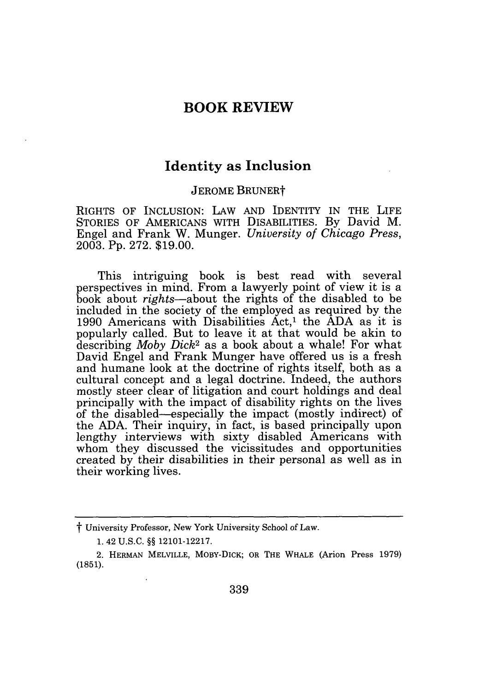### **BOOK REVIEW**

## **Identity** as **Inclusion**

#### **JEROME BRUNERT**

RIGHTS OF INCLUSION: LAW AND IDENTITY IN THE LIFE STORIES OF AMERICANS WITH DISABILITIES. By David M. Engel and Frank W. Munger. *University of Chicago Press,* 2003. Pp. 272. \$19.00.

This intriguing book is best read with several perspectives in mind. From a lawyerly point of view it is a book about *rights-about* the rights of the disabled to be included in the society of the employed as required by the 1990 Americans with Disabilities  $Act<sub>1</sub>$ <sup>1</sup> the ADA as it is popularly called. But to leave it at that would be akin to describing *Moby Dick2* as a book about a whale! For what David Engel and Frank Munger have offered us is a fresh and humane look at the doctrine of rights itself, both as a cultural concept and a legal doctrine. Indeed, the authors mostly steer clear of litigation and court holdings and deal principally with the impact of disability rights on the lives of the disabled-especially the impact (mostly indirect) of the ADA. Their inquiry, in fact, is based principally upon lengthy interviews with sixty disabled Americans with whom they discussed the vicissitudes and opportunities created by their disabilities in their personal as well as in their working lives.

t University Professor, New York University School of Law.

<sup>1. 42</sup> U.S.C. §§ 12101-12217.

<sup>2.</sup> HERMAN MELVILLE, MOBY-DICK; OR THE WHALE (Arion Press 1979) (1851).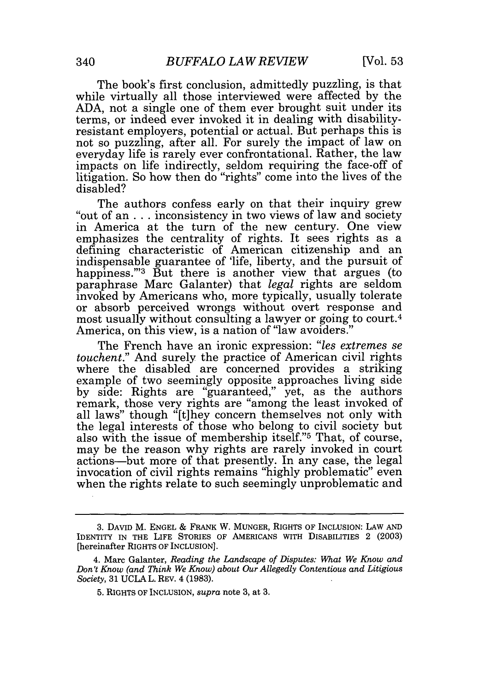The book's first conclusion, admittedly puzzling, is that while virtually all those interviewed were affected by the ADA, not a single one of them ever brought suit under its terms, or indeed ever invoked it in dealing with disabilityresistant employers, potential or actual. But perhaps this is not so puzzling, after all. For surely the impact of law on everyday life is rarely ever confrontational. Rather, the law impacts on life indirectly, seldom requiring the face-off of litigation. So how then do "rights" come into the lives of the disabled?

The authors confess early on that their inquiry grew "out of an **...** inconsistency in two views of law and society in America at the turn of the new century. One view emphasizes the centrality of rights. It sees rights as a defining characteristic of American citizenship and an indispensable guarantee of 'life, liberty, and the pursuit of happiness." $3$  But there is another view that argues (to paraphrase Marc Galanter) that *legal* rights are seldom invoked by Americans who, more typically, usually tolerate or absorb perceived wrongs without overt response and most usually without consulting a lawyer or going to court.<sup>4</sup> America, on this view, is a nation of "law avoiders."

The French have an ironic expression: *"les extremes se touchent."* And surely the practice of American civil rights where the disabled are concerned provides a striking example of two seemingly opposite approaches living side by side: Rights are "guaranteed," yet, as the authors remark, those very rights are "among the least invoked of all laws" though "[t]hey concern themselves not only with the legal interests of those who belong to civil society but also with the issue of membership itself."5 That, of course, may be the reason why rights are rarely invoked in court actions-but more of that presently. In any case, the legal invocation of civil rights remains "highly problematic" even when the rights relate to such seemingly unproblematic and

<sup>3.</sup> DAVID M. ENGEL **&** FRANK W. MUNGER, RIGHTS OF INCLUSION: LAW AND IDENTITY IN THE LIFE STORIES OF AMERICANS WITH DISABILITIES 2 (2003) [hereinafter RIGHTS OF INCLUSION].

<sup>4.</sup> Marc Galanter, *Reading the Landscape of Disputes: What We Know and Don't Know (and Think We Know) about Our Allegedly Contentious and Litigious Society,* **31** UCLA L. REV. 4 (1983).

<sup>5.</sup> RIGHTS OF INCLUSION, *supra* note 3, at 3.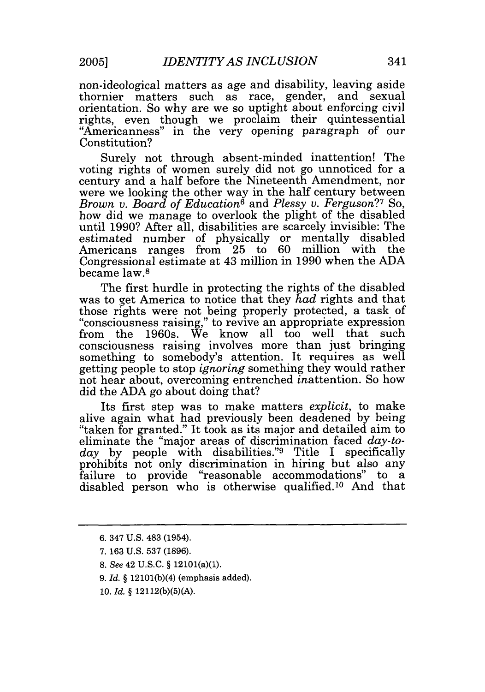non-ideological matters as age and disability, leaving aside thornier matters such as race, gender, and sexual orientation. So why are we so uptight about enforcing civil rights, even though we proclaim their quintessential "Americanness" in the very opening paragraph of our Constitution?

Surely not through absent-minded inattention! The voting rights of women surely did not go unnoticed for a century and a half before the Nineteenth Amendment, nor were we looking the other way in the half century between *Brown v. Board of Education6* and *Plessy v. Ferguson?7* So, how did we manage to overlook the plight of the disabled until 1990? After all, disabilities are scarcely invisible: The estimated number of physically or mentally disabled Americans ranges from 25 to 60 million with the Congressional estimate at 43 million in 1990 when the ADA became law.8

The first hurdle in protecting the rights of the disabled was to get America to notice that they *had* rights and that those rights were not being properly protected, a task of "consciousness raising," to revive an appropriate expression from the 1960s. We know all too well that such consciousness raising involves more than just bringing something to somebody's attention. It requires as well getting people to stop *ignoring* something they would rather not hear about, overcoming entrenched inattention. So how did the ADA go about doing that?

Its first step was to make matters *explicit,* to make alive again what had previously been deadened by being "taken for granted." It took as its major and detailed aim to eliminate the "major areas of discrimination faced *day-today* by people with disabilities."9 Title I specifically prohibits not only discrimination in hiring but also any failure to provide "reasonable accommodations" to a disabled person who is otherwise qualified. 10 And that

- 8. See 42 U.S.C. § 12101(a)(1).
- 9. *Id. §* 12101(b)(4) (emphasis added).
- 10. *Id. §* 12112(b)(5)(A).

<sup>6. 347</sup> U.S. 483 (1954).

<sup>7. 163</sup> U.S. 537 (1896).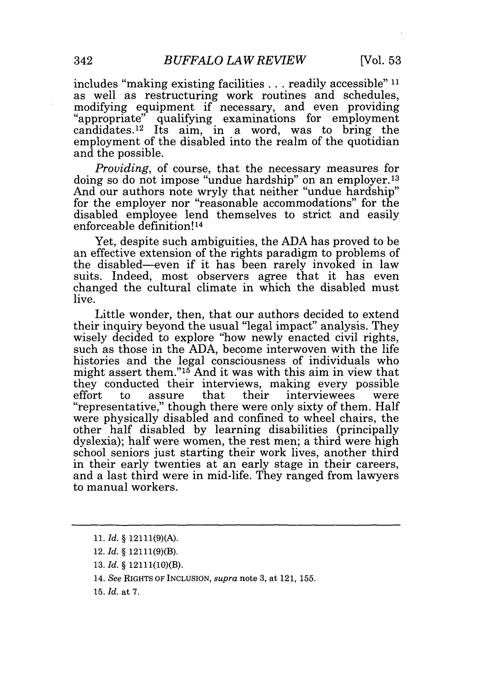includes "making existing facilities **...** readily accessible" **11** as well as restructuring work routines and schedules, modifying equipment if necessary, and even providing "appropriate" qualifying examinations for employment candidates.<sup>12</sup> Its aim, in a word, was to bring the employment of the disabled into the realm of the quotidian and the possible.

*Providing,* of course, that the necessary measures for doing so do not impose "undue hardship" on an employer.<sup>13</sup> And our authors note wryly that neither "undue hardship" for the employer nor "reasonable accommodations" for the disabled employee lend themselves to strict and easily enforceable definition!<sup>14</sup>

Yet, despite such ambiguities, the ADA has proved to be an effective extension of the rights paradigm to problems of the disabled-even if it has been rarely invoked in law suits. Indeed, most observers agree that it has even changed the cultural climate in which the disabled must live.

Little wonder, then, that our authors decided to extend their inquiry beyond the usual "legal impact" analysis. They wisely decided to explore "how newly enacted civil rights, such as those in the ADA, become interwoven with the life histories and the legal consciousness of individuals who might assert them."'15 And it was with this aim in view that they conducted their interviews, making every possible effort to assure that their interviewees were "representative," though there were only sixty of them. Half were physically disabled and confined to wheel chairs, the other half disabled by learning disabilities (principally dyslexia); half were women, the rest men; a third were high school seniors just starting their work lives, another third in their early twenties at an early stage in their careers, and a last third were in mid-life. They ranged from lawyers to manual workers.

<sup>11.</sup> *Id.* § 12111(9)(A).

<sup>12.</sup> *Id.* § 12111(9)(B).

<sup>13.</sup> *Id.* § 12111(10)(B).

<sup>14.</sup> *See* RIGHTS OF INCLUSION, *supra* note 3, at 121, 155.

<sup>15.</sup> *Id.* at 7.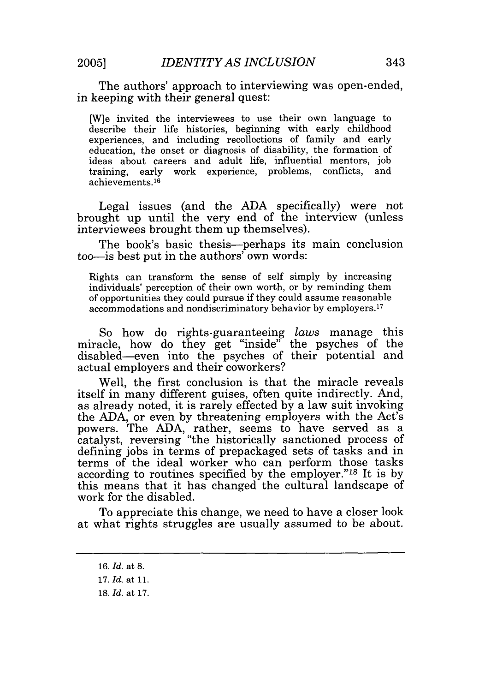The authors' approach to interviewing was open-ended, in keeping with their general quest:

*[W]e* invited the interviewees to use their own language to describe their life histories, beginning with early childhood experiences, and including recollections of family and early education, the onset or diagnosis of disability, the formation of ideas about careers and adult life, influential mentors, job training, early work experience, problems, conflicts, and achievements. <sup>16</sup>

Legal issues (and the ADA specifically) were not brought up until the very end of the interview (unless interviewees brought them up themselves).

The book's basic thesis—perhaps its main conclusion too-is best put in the authors' own words:

Rights can transform the sense of self simply by increasing individuals' perception of their own worth, or by reminding them of opportunities they could pursue if they could assume reasonable accommodations and nondiscriminatory behavior by employers. <sup>17</sup>

So how do rights-guaranteeing *laws* manage this miracle, how do they get "inside" the psyches of the disabled—even into the psyches of their potential and actual employers and their coworkers?

Well, the first conclusion is that the miracle reveals itself in many different guises, often quite indirectly. And, as already noted, it is rarely effected by a law suit invoking the ADA, or even by threatening employers with the Act's powers. The ADA, rather, seems to have served as a catalyst, reversing "the historically sanctioned process of defining jobs in terms of prepackaged sets of tasks and in terms of the ideal worker who can perform those tasks according to routines specified by the employer."18 It is by this means that it has changed the cultural landscape of work for the disabled.

To appreciate this change, we need to have a closer look at what rights struggles are usually assumed to be about.

<sup>16.</sup> *Id.* at 8.

<sup>17.</sup> *Id.* at **11.**

**<sup>18.</sup>** *Id.* at 17.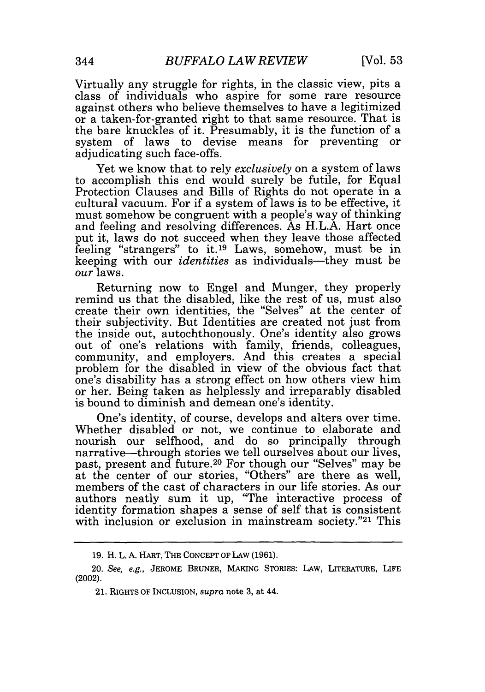Virtually any struggle for rights, in the classic view, pits a class of individuals who aspire for some rare resource against others who believe themselves to have a legitimized or a taken-for-granted right to that same resource. That is the bare knuckles of it. Presumably, it is the function of a system of laws to devise means for preventing or adjudicating such face-offs.

Yet we know that to rely *exclusively* on a system of laws to accomplish this end would surely be futile, for Equal Protection Clauses and Bills of Rights do not operate in a cultural vacuum. For if a system of laws is to be effective, it must somehow be congruent with a people's way of thinking and feeling and resolving differences. As H.L.A. Hart once put it, laws do not succeed when they leave those affected feeling "strangers" to it.19 Laws, somehow, must be in keeping with our *identities* as individuals—they must be *our* laws.

Returning now to Engel and Munger, they properly remind us that the disabled, like the rest of us, must also create their own identities, the "Selves" at the center of their subjectivity. But Identities are created not just from the inside out, autochthonously. One's identity also grows out of one's relations with family, friends, colleagues, community, and employers. And this creates a special problem for the disabled in view of the obvious fact that one's disability has a strong effect on how others view him or her. Being taken as helplessly and irreparably disabled is bound to diminish and demean one's identity.

One's identity, of course, develops and alters over time. Whether disabled or not, we continue to elaborate and nourish our selfhood, and do so principally through narrative-through stories we tell ourselves about our lives, past, present and future. 20 For though our "Selves" may be at the center of our stories, "Others" are there as well, members of the cast of characters in our life stories. As our authors neatly sum it up, "The interactive process of identity formation shapes a sense of self that is consistent with inclusion or exclusion in mainstream society." $21$  This

<sup>19.</sup> H. L. A. HART, THE CONCEPT OF LAW (1961).

<sup>20.</sup> *See, e.g.,* JEROME BRUNER, MAKING STORIES: LAW, LITERATURE, LIFE (2002).

<sup>21.</sup> RIGHTS OF INCLUSION, *supra* note 3, at 44.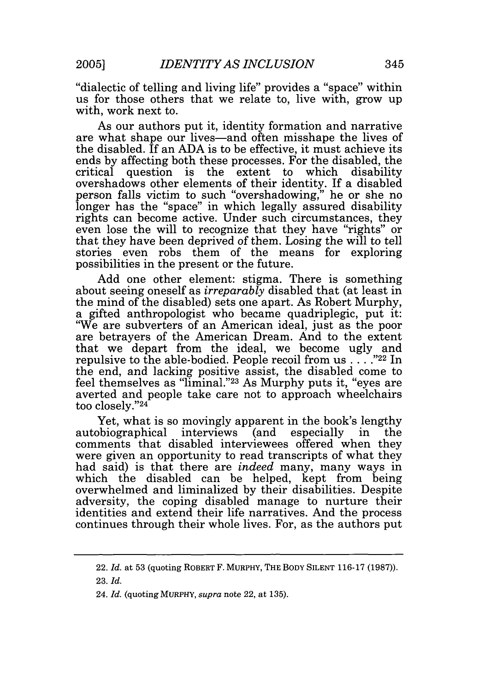"dialectic of telling and living life" provides a "space" within us for those others that we relate to, live with, grow up with, work next to.

As our authors put it, identity formation and narrative are what shape our lives-and often misshape the lives of the disabled. If an ADA is to be effective, it must achieve its ends by affecting both these processes. For the disabled, the critical question is the extent to which disability question is the extent to which overshadows other elements of their identity. If a disabled person falls victim to such "overshadowing," he or she no longer has the "space" in which legally assured disability rights can become active. Under such circumstances, they even lose the will to recognize that they have "rights" or that they have been deprived of them. Losing the will to tell stories even robs them of the means for exploring possibilities in the present or the future.

Add one other element: stigma. There is something about seeing oneself as *irreparably* disabled that (at least in the mind of the disabled) sets one apart. As Robert Murphy, a gifted anthropologist who became quadriplegic, put it: "We are subverters of an American ideal, just as the poor are betrayers of the American Dream. And to the extent that we depart from the ideal, we become ugly and repulsive to the able-bodied. People recoil from us **.... ,,22** In the end, and lacking positive assist, the disabled come to feel themselves as "liminal."<sup>23</sup> As Murphy puts it, "eyes are averted and people take care not to approach wheelchairs too closely. '24

Yet, what is so movingly apparent in the book's lengthy autobiographical interviews (and especially in the comments that disabled interviewees offered when they were given an opportunity to read transcripts of what they had said) is that there are *indeed* many, many ways in which the disabled can be helped, kept from being overwhelmed and liminalized by their disabilities. Despite adversity, the coping disabled manage to nurture their identities and extend their life narratives. And the process continues through their whole lives. For, as the authors put

<sup>22.</sup> *Id.* at 53 (quoting ROBERT F. MURPHY, THE BODY SILENT 116-17 (1987)).

<sup>23.</sup> *Id.*

<sup>24.</sup> *Id.* (quoting MURPHY, *supra* note 22, at 135).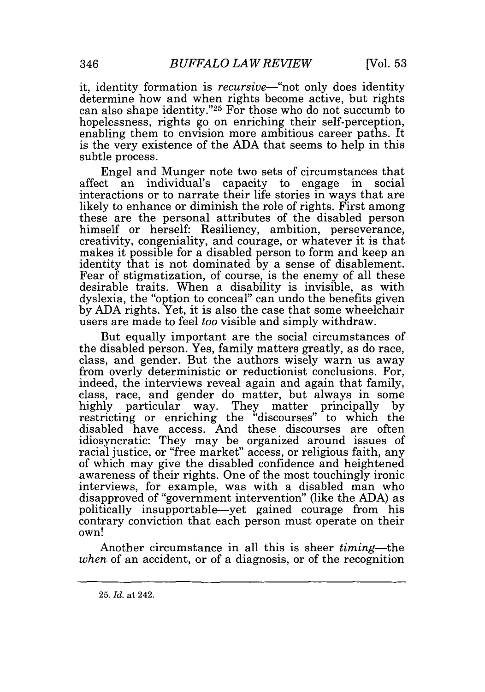it, identity formation is *recursive*—"not only does identity determine how and when rights become active, but rights can also shape identity."<sup>25</sup> For those who do not succumb to hopelessness, rights go on enriching their self-perception, enabling them to envision more ambitious career paths. It is the very existence of the ADA that seems to help in this subtle process.

Engel and Munger note two sets of circumstances that affect an individual's capacity to engage in social interactions or to narrate their life stories in ways that are likely to enhance or diminish the role of rights. First among these are the personal attributes of the disabled person himself or herself: Resiliency, ambition, perseverance, creativity, congeniality, and courage, or whatever it is that makes it possible for a disabled person to form and keep an identity that is not dominated by a sense of disablement. Fear of stigmatization, of course, is the enemy of all these desirable traits. When a disability is invisible, as with dyslexia, the "option to conceal" can undo the benefits given by ADA rights. Yet, it is also the case that some wheelchair users are made to feel *too* visible and simply withdraw.

But equally important are the social circumstances of the disabled person. Yes, family matters greatly, as do race, class, and gender. But the authors wisely warn us away from overly deterministic or reductionist conclusions. For, indeed, the interviews reveal again and again that family, class, race, and gender do matter, but always in some highly particular way. They matter principally by restricting or enriching the "discourses" to which the disabled have access. And these discourses are often idiosyncratic: They may be organized around issues of racial justice, or "free market" access, or religious faith, any of which may give the disabled confidence and heightened awareness of their rights. One of the most touchingly ironic interviews, for example, was with a disabled man who disapproved of "government intervention" (like the ADA) as politically insupportable-yet gained courage from his contrary conviction that each person must operate on their own!

Another circumstance in all this is sheer *timing-the when* of an accident, or of a diagnosis, or of the recognition

<sup>25.</sup> *Id.* at 242.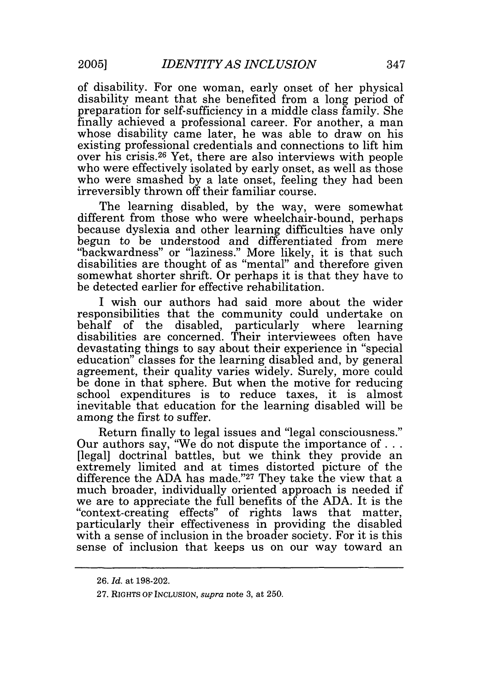of disability. For one woman, early onset of her physical disability meant that she benefited from a long period of preparation for self-sufficiency in a middle class family. She finally achieved a professional career. For another, a man whose disability came later, he was able to draw on his existing professional credentials and connections to lift him over his crisis.26 Yet, there are also interviews with people who were effectively isolated by early onset, as well as those who were smashed by a late onset, feeling they had been irreversibly thrown off their familiar course.

The learning disabled, by the way, were somewhat different from those who were wheelchair-bound, perhaps because dyslexia and other learning difficulties have only begun to be understood and differentiated from mere "backwardness" or "laziness." More likely, it is that such disabilities are thought of as "mental" and therefore given somewhat shorter shrift. Or perhaps it is that they have to be detected earlier for effective rehabilitation.

I wish our authors had said more about the wider responsibilities that the community could undertake on behalf of the disabled, particularly where learning disabilities are concerned. Their interviewees often have devastating things to say about their experience in "special education" classes for the learning disabled and, by general agreement, their quality varies widely. Surely, more could be done in that sphere. But when the motive for reducing school expenditures is to reduce taxes, it is almost inevitable that education for the learning disabled will be among the first to suffer.

Return finally to legal issues and "legal consciousness." Our authors say, "We do not dispute the importance **of...** [legal] doctrinal battles, but we think they provide an extremely limited and at times distorted picture of the difference the ADA has made."<sup>27</sup> They take the view that a much broader, individually oriented approach is needed if we are to appreciate the full benefits of the ADA. It is the "context-creating effects" of rights laws that matter, particularly their effectiveness in providing the disabled with a sense of inclusion in the broader society. For it is this sense of inclusion that keeps us on our way toward an

<sup>26.</sup> *Id.* at 198-202.

<sup>27.</sup> RIGHTS *OF INCLUSION, supra* note 3, at 250.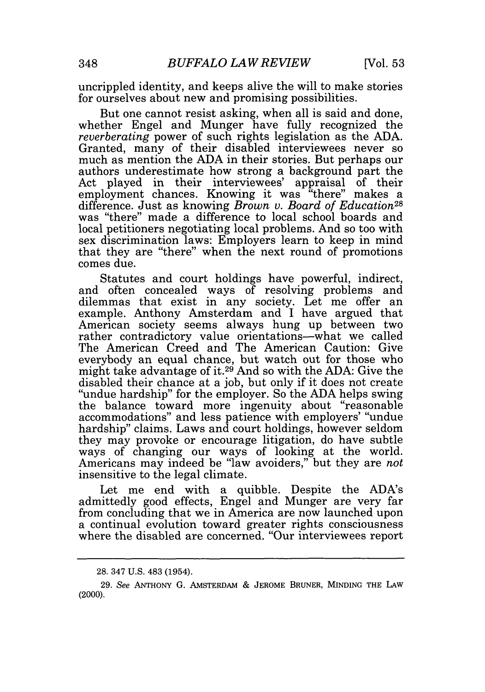uncrippled identity, and keeps alive the will to make stories for ourselves about new and promising possibilities.

But one cannot resist asking, when all is said and done, whether Engel and Munger have fully recognized the *reverberating* power of such rights legislation as the ADA. Granted, many of their disabled interviewees never so much as mention the ADA in their stories. But perhaps our authors underestimate how strong a background part the Act played in their interviewees' appraisal of their employment chances. Knowing it was "there" makes a difference. Just as knowing *Brown v. Board of Education28* was "there" made a difference to local school boards and local petitioners negotiating local problems. And so too with sex discrimination laws: Employers learn to keep in mind that they are "there" when the next round of promotions comes due.

Statutes and court holdings have powerful, indirect, and often concealed ways of resolving problems and dilemmas that exist in any society. Let me offer an example. Anthony Amsterdam and I have argued that American society seems always hung up between two rather contradictory value orientations-what we called The American Creed and The American Caution: Give everybody an equal chance, but watch out for those who might take advantage of it.29 And so with the ADA: Give the disabled their chance at a job, but only if it does not create "undue hardship" for the employer. So the ADA helps swing the balance toward more ingenuity about "reasonable accommodations" and less patience with employers' "undue hardship" claims. Laws and court holdings, however seldom they may provoke or encourage litigation, do have subtle ways of changing our ways of looking at the world. Americans may indeed be "law avoiders," but they are *not* insensitive to the legal climate.

Let me end with a quibble. Despite the ADA's admittedly good effects, Engel and Munger are very far from concluding that we in America are now launched upon a continual evolution toward greater rights consciousness where the disabled are concerned. "Our interviewees report

<sup>28. 347</sup> U.S. 483 (1954).

<sup>29.</sup> See ANTHONY G. AMSTERDAM **&** JEROME BRUNER, MINDING THE LAW (2000).